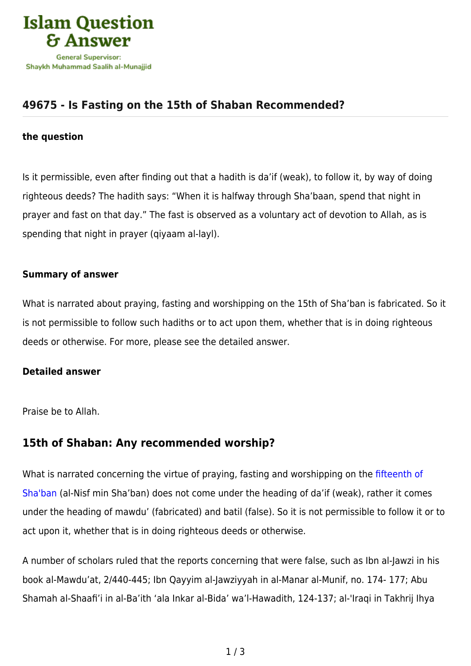

# **[49675 - Is Fasting on the 15th of Shaban Recommended?](https://islamqa.info/en/answers/49675/is-fasting-on-the-15th-of-shaban-recommended)**

#### **the question**

Is it permissible, even after finding out that a hadith is da'if (weak), to follow it, by way of doing righteous deeds? The hadith says: "When it is halfway through Sha'baan, spend that night in prayer and fast on that day." The fast is observed as a voluntary act of devotion to Allah, as is spending that night in prayer (qiyaam al-layl).

### **Summary of answer**

What is narrated about praying, fasting and worshipping on the 15th of Sha'ban is fabricated. So it is not permissible to follow such hadiths or to act upon them, whether that is in doing righteous deeds or otherwise. For more, please see the detailed answer.

#### **Detailed answer**

Praise be to Allah.

## **15th of Shaban: Any recommended worship?**

What is narrated concerning the virtue of praying, fasting and worshipping on the [fifteenth of](https://islamqa.info/en/answers/8907) [Sha'ban](https://islamqa.info/en/answers/8907) (al-Nisf min Sha'ban) does not come under the heading of da'if (weak), rather it comes under the heading of mawdu' (fabricated) and batil (false). So it is not permissible to follow it or to act upon it, whether that is in doing righteous deeds or otherwise.

A number of scholars ruled that the reports concerning that were false, such as Ibn al-Jawzi in his book al-Mawdu'at, 2/440-445; Ibn Qayyim al-Jawziyyah in al-Manar al-Munif, no. 174- 177; Abu Shamah al-Shaafi'i in al-Ba'ith 'ala Inkar al-Bida' wa'l-Hawadith, 124-137; al-'Iraqi in Takhrij Ihya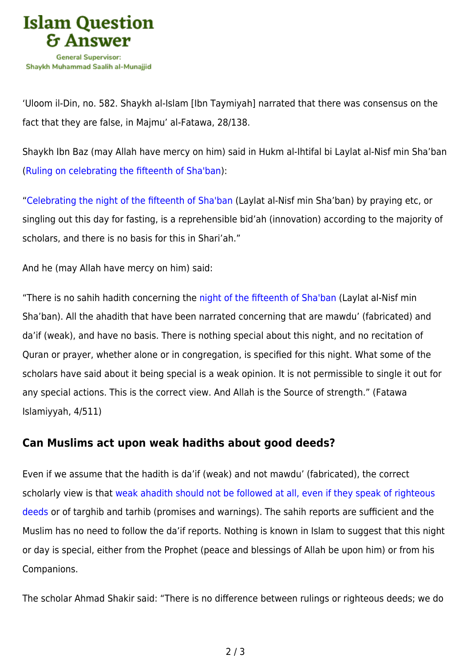

'Uloom il-Din, no. 582. Shaykh al-Islam [Ibn Taymiyah] narrated that there was consensus on the fact that they are false, in Majmu' al-Fatawa, 28/138.

Shaykh Ibn Baz (may Allah have mercy on him) said in Hukm al-Ihtifal bi Laylat al-Nisf min Sha'ban ([Ruling on celebrating the fifteenth of Sha'ban](https://islamqa.info/en/articles/66/ruling-on-celebrating-the-middle-of-shabaan)):

"[Celebrating the night of the fifteenth of Sha'ban](https://islamqa.info/en/answers/154183) (Laylat al-Nisf min Sha'ban) by praying etc, or singling out this day for fasting, is a reprehensible bid'ah (innovation) according to the majority of scholars, and there is no basis for this in Shari'ah."

And he (may Allah have mercy on him) said:

"There is no sahih hadith concerning the [night of the fifteenth of Sha'ban](https://islamqa.info/en/answers/49678) (Laylat al-Nisf min Sha'ban). All the ahadith that have been narrated concerning that are mawdu' (fabricated) and da'if (weak), and have no basis. There is nothing special about this night, and no recitation of Quran or prayer, whether alone or in congregation, is specified for this night. What some of the scholars have said about it being special is a weak opinion. It is not permissible to single it out for any special actions. This is the correct view. And Allah is the Source of strength." (Fatawa Islamiyyah, 4/511)

## **Can Muslims act upon weak hadiths about good deeds?**

Even if we assume that the hadith is da'if (weak) and not mawdu' (fabricated), the correct scholarly view is that [weak ahadith should not be followed at all, even if they speak of righteous](https://islamqa.info/en/answers/44877) [deeds](https://islamqa.info/en/answers/44877) or of targhib and tarhib (promises and warnings). The sahih reports are sufficient and the Muslim has no need to follow the da'if reports. Nothing is known in Islam to suggest that this night or day is special, either from the Prophet (peace and blessings of Allah be upon him) or from his Companions.

The scholar Ahmad Shakir said: "There is no difference between rulings or righteous deeds; we do